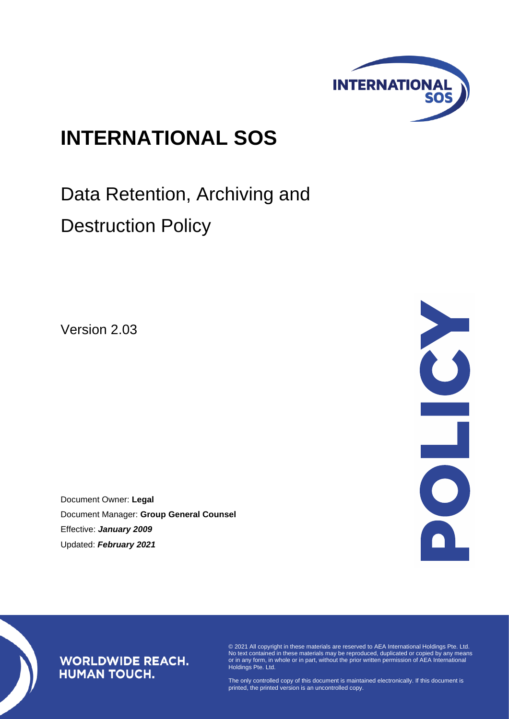

# **INTERNATIONAL SOS**

Data Retention, Archiving and Destruction Policy

Version 2.03

Document Owner: **Legal** Document Manager: **Group General Counsel** Effective: *January 2009* Updated: *February 2021*



# **WORLDWIDE REACH. HUMAN TOUCH.**

© 2021 All copyright in these materials are reserved to AEA International Holdings Pte. Ltd. No text contained in these materials may be reproduced, duplicated or copied by any means or in any form, in whole or in part, without the prior written permission of AEA International Holdings Pte. Ltd.

The only controlled copy of this document is maintained electronically. If this document is printed, the printed version is an uncontrolled copy.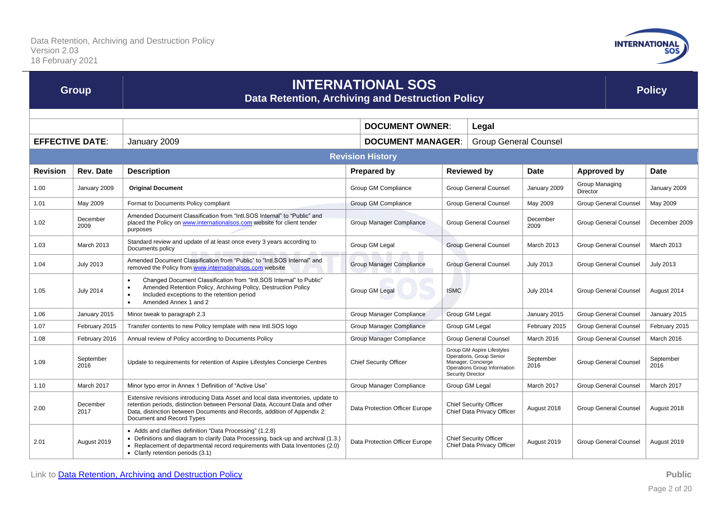

| <b>Group</b>           |                                 | <b>INTERNATIONAL SOS</b><br>Data Retention, Archiving and Destruction Policy                                                                                                                                                                                              |                                                          |                                                                                                                                   |                              |                                            | <b>Policy</b>                |                              |                   |
|------------------------|---------------------------------|---------------------------------------------------------------------------------------------------------------------------------------------------------------------------------------------------------------------------------------------------------------------------|----------------------------------------------------------|-----------------------------------------------------------------------------------------------------------------------------------|------------------------------|--------------------------------------------|------------------------------|------------------------------|-------------------|
|                        | <b>DOCUMENT OWNER:</b><br>Legal |                                                                                                                                                                                                                                                                           |                                                          |                                                                                                                                   |                              |                                            |                              |                              |                   |
| <b>EFFECTIVE DATE:</b> |                                 | January 2009                                                                                                                                                                                                                                                              | <b>DOCUMENT MANAGER:</b><br><b>Group General Counsel</b> |                                                                                                                                   |                              |                                            |                              |                              |                   |
|                        |                                 |                                                                                                                                                                                                                                                                           | <b>Revision History</b>                                  |                                                                                                                                   |                              |                                            |                              |                              |                   |
| <b>Revision</b>        | <b>Rev. Date</b>                | <b>Description</b>                                                                                                                                                                                                                                                        | <b>Prepared by</b>                                       | <b>Reviewed by</b>                                                                                                                |                              | <b>Date</b>                                | <b>Approved by</b>           |                              | Date              |
| 1.00                   | January 2009                    | <b>Original Document</b>                                                                                                                                                                                                                                                  | Group GM Compliance                                      | <b>Group General Counsel</b>                                                                                                      |                              | January 2009                               | Group Managing<br>Director   |                              | January 2009      |
| 1.01                   | May 2009                        | Format to Documents Policy compliant                                                                                                                                                                                                                                      | Group GM Compliance                                      |                                                                                                                                   | <b>Group General Counsel</b> | May 2009                                   | <b>Group General Counsel</b> |                              | May 2009          |
| 1.02                   | December<br>2009                | Amended Document Classification from "Intl.SOS Internal" to "Public" and<br>placed the Policy on www.internationalsos.com website for client tender<br>purposes                                                                                                           | Group Manager Compliance                                 |                                                                                                                                   | <b>Group General Counsel</b> | December<br>2009                           | <b>Group General Counsel</b> |                              | December 2009     |
| 1.03                   | March 2013                      | Standard review and update of at least once every 3 years according to<br>Documents policy                                                                                                                                                                                | Group GM Legal                                           | <b>Group General Counsel</b>                                                                                                      |                              | March 2013                                 | <b>Group General Counsel</b> |                              | <b>March 2013</b> |
| 1.04                   | <b>July 2013</b>                | Amended Document Classification from "Public" to "Intl.SOS Internal" and<br>removed the Policy from www.internationalsos.com website                                                                                                                                      | Group Manager Compliance                                 |                                                                                                                                   | <b>Group General Counsel</b> | <b>July 2013</b>                           | <b>Group General Counsel</b> |                              | <b>July 2013</b>  |
| 1.05                   | <b>July 2014</b>                | Changed Document Classification from "Intl.SOS Internal" to Public"<br>$\bullet$<br>Amended Retention Policy, Archiving Policy, Destruction Policy<br>Included exceptions to the retention period<br>Amended Annex 1 and 2<br>$\bullet$                                   | Group GM Legal                                           | <b>ISMC</b>                                                                                                                       |                              | <b>July 2014</b>                           |                              | <b>Group General Counsel</b> | August 2014       |
| 1.06                   | January 2015                    | Minor tweak to paragraph 2.3                                                                                                                                                                                                                                              | Group Manager Compliance                                 | Group GM Legal                                                                                                                    |                              | January 2015                               |                              | <b>Group General Counsel</b> | January 2015      |
| 1.07                   | February 2015                   | Transfer contents to new Policy template with new Intl.SOS logo                                                                                                                                                                                                           | Group Manager Compliance                                 | Group GM Legal                                                                                                                    |                              | February 2015                              |                              | <b>Group General Counsel</b> | February 2015     |
| 1.08                   | February 2016                   | Annual review of Policy according to Documents Policy                                                                                                                                                                                                                     | Group Manager Compliance                                 | <b>Group General Counsel</b>                                                                                                      |                              | March 2016<br><b>Group General Counsel</b> |                              |                              | March 2016        |
| 1.09                   | September<br>2016               | Update to requirements for retention of Aspire Lifestyles Concierge Centres                                                                                                                                                                                               | <b>Chief Security Officer</b>                            | Group GM Aspire Lifestyles<br>Operations, Group Senior<br>Manager, Concierge<br>Operations Group Information<br>Security Director |                              | September<br>2016                          |                              | <b>Group General Counsel</b> | September<br>2016 |
| 1.10                   | March 2017                      | Minor typo error in Annex 1 Definition of "Active Use"                                                                                                                                                                                                                    | Group Manager Compliance                                 | Group GM Legal                                                                                                                    |                              | March 2017                                 |                              | <b>Group General Counsel</b> | March 2017        |
| 2.00                   | December<br>2017                | Extensive revisions introducing Data Asset and local data inventories, update to<br>retention periods, distinction between Personal Data, Account Data and other<br>Data, distinction between Documents and Records, addition of Appendix 2:<br>Document and Record Types | Data Protection Officer Europe                           | <b>Chief Security Officer</b><br>Chief Data Privacy Officer                                                                       |                              | August 2018                                |                              | <b>Group General Counsel</b> | August 2018       |
| 2.01                   | August 2019                     | • Adds and clarifies definition "Data Processing" (1.2.8)<br>• Definitions and diagram to clarify Data Processing, back-up and archival (1.3.)<br>• Replacement of departmental record requirements with Data Inventories (2.0)<br>• Clarify retention periods (3.1)      | Data Protection Officer Europe                           | <b>Chief Security Officer</b><br>Chief Data Privacy Officer                                                                       |                              | August 2019                                |                              | <b>Group General Counsel</b> | August 2019       |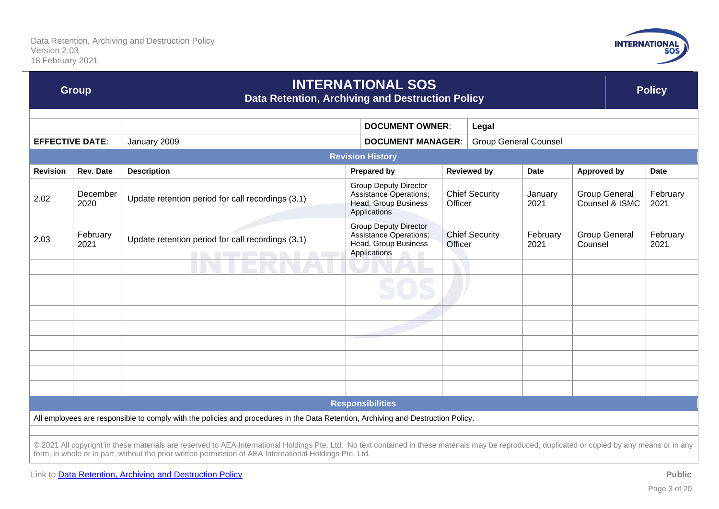

| <b>Group</b>                                                                                                                                                                                                                                                                                                |                  | <b>INTERNATIONAL SOS</b><br>Data Retention, Archiving and Destruction Policy |                                                                                                       |                                   |  |                    | <b>Policy</b>                          |             |                  |
|-------------------------------------------------------------------------------------------------------------------------------------------------------------------------------------------------------------------------------------------------------------------------------------------------------------|------------------|------------------------------------------------------------------------------|-------------------------------------------------------------------------------------------------------|-----------------------------------|--|--------------------|----------------------------------------|-------------|------------------|
| <b>DOCUMENT OWNER:</b><br>Legal                                                                                                                                                                                                                                                                             |                  |                                                                              |                                                                                                       |                                   |  |                    |                                        |             |                  |
| <b>EFFECTIVE DATE:</b>                                                                                                                                                                                                                                                                                      |                  | January 2009                                                                 | <b>DOCUMENT MANAGER:</b><br><b>Group General Counsel</b>                                              |                                   |  |                    |                                        |             |                  |
|                                                                                                                                                                                                                                                                                                             |                  |                                                                              | <b>Revision History</b>                                                                               |                                   |  |                    |                                        |             |                  |
| <b>Revision</b>                                                                                                                                                                                                                                                                                             | <b>Rev. Date</b> | <b>Description</b>                                                           | <b>Prepared by</b>                                                                                    | <b>Reviewed by</b><br><b>Date</b> |  | <b>Approved by</b> |                                        | <b>Date</b> |                  |
| 2.02                                                                                                                                                                                                                                                                                                        | December<br>2020 | Update retention period for call recordings (3.1)                            | <b>Group Deputy Director</b><br><b>Assistance Operations;</b><br>Head, Group Business<br>Applications | <b>Chief Security</b><br>Officer  |  | January<br>2021    | <b>Group General</b><br>Counsel & ISMC |             | February<br>2021 |
| 2.03                                                                                                                                                                                                                                                                                                        | February<br>2021 | Update retention period for call recordings (3.1)<br>IN LEENN                | <b>Group Deputy Director</b><br><b>Assistance Operations;</b><br>Head, Group Business<br>Applications | <b>Chief Security</b><br>Officer  |  | February<br>2021   | <b>Group General</b><br>Counsel        |             | February<br>2021 |
|                                                                                                                                                                                                                                                                                                             |                  |                                                                              |                                                                                                       |                                   |  |                    |                                        |             |                  |
|                                                                                                                                                                                                                                                                                                             |                  |                                                                              |                                                                                                       |                                   |  |                    |                                        |             |                  |
|                                                                                                                                                                                                                                                                                                             |                  |                                                                              |                                                                                                       |                                   |  |                    |                                        |             |                  |
|                                                                                                                                                                                                                                                                                                             |                  |                                                                              |                                                                                                       |                                   |  |                    |                                        |             |                  |
|                                                                                                                                                                                                                                                                                                             |                  |                                                                              |                                                                                                       |                                   |  |                    |                                        |             |                  |
|                                                                                                                                                                                                                                                                                                             |                  |                                                                              |                                                                                                       |                                   |  |                    |                                        |             |                  |
|                                                                                                                                                                                                                                                                                                             |                  |                                                                              |                                                                                                       |                                   |  |                    |                                        |             |                  |
|                                                                                                                                                                                                                                                                                                             |                  |                                                                              |                                                                                                       |                                   |  |                    |                                        |             |                  |
|                                                                                                                                                                                                                                                                                                             |                  |                                                                              |                                                                                                       |                                   |  |                    |                                        |             |                  |
| <b>Responsibilities</b>                                                                                                                                                                                                                                                                                     |                  |                                                                              |                                                                                                       |                                   |  |                    |                                        |             |                  |
| All employees are responsible to comply with the policies and procedures in the Data Retention, Archiving and Destruction Policy.                                                                                                                                                                           |                  |                                                                              |                                                                                                       |                                   |  |                    |                                        |             |                  |
|                                                                                                                                                                                                                                                                                                             |                  |                                                                              |                                                                                                       |                                   |  |                    |                                        |             |                  |
| © 2021 All copyright in these materials are reserved to AEA International Holdings Pte. Ltd. No text contained in these materials may be reproduced, duplicated or copied by any means or in any<br>form, in whole or in part, without the prior written permission of AEA International Holdings Pte. Ltd. |                  |                                                                              |                                                                                                       |                                   |  |                    |                                        |             |                  |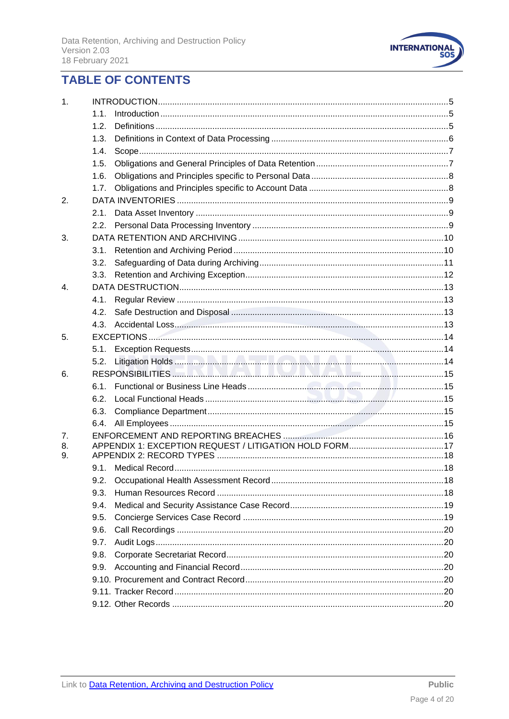

# **TABLE OF CONTENTS**

| 1.             |      |  |
|----------------|------|--|
|                | 1.1. |  |
|                | 1.2. |  |
|                | 1.3. |  |
|                | 1.4. |  |
|                | 1.5. |  |
|                | 1.6. |  |
|                | 1.7. |  |
| 2.             |      |  |
|                | 2.1. |  |
|                | 2.2. |  |
| 3.             |      |  |
|                | 3.1. |  |
|                | 3.2. |  |
|                | 3.3. |  |
| $\mathbf{4}$ . |      |  |
|                | 4.1. |  |
|                | 4.2. |  |
|                | 4.3. |  |
| 5.             |      |  |
|                | 5.1. |  |
|                | 5.2. |  |
| 6.             |      |  |
|                | 6.1. |  |
|                | 6.2. |  |
|                | 6.3. |  |
|                | 6.4. |  |
| 7 <sub>1</sub> |      |  |
| 8.             |      |  |
| 9.             |      |  |
|                |      |  |
|                | 9.2. |  |
|                | 9.3. |  |
|                | 9.4. |  |
|                | 9.5. |  |
|                | 9.6. |  |
|                | 9.7. |  |
|                | 9.8. |  |
|                | 9.9. |  |
|                |      |  |
|                |      |  |
|                |      |  |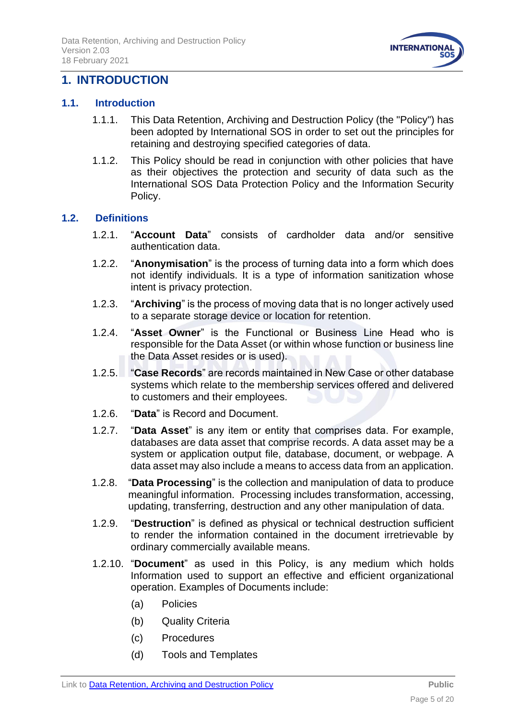

# <span id="page-4-0"></span>**1. INTRODUCTION**

#### <span id="page-4-1"></span>**1.1. Introduction**

- 1.1.1. This Data Retention, Archiving and Destruction Policy (the "Policy") has been adopted by International SOS in order to set out the principles for retaining and destroying specified categories of data.
- 1.1.2. This Policy should be read in conjunction with other policies that have as their objectives the protection and security of data such as the International SOS Data Protection Policy and the Information Security Policy.

#### <span id="page-4-2"></span>**1.2. Definitions**

- 1.2.1. "**Account Data**" consists of cardholder data and/or sensitive authentication data.
- 1.2.2. "**Anonymisation**" is the process of turning data into a form which does not identify individuals. It is a type of information sanitization whose intent is privacy protection.
- 1.2.3. "**Archiving**" is the process of moving data that is no longer actively used to a separate storage device or location for retention.
- 1.2.4. "**Asset Owner**" is the Functional or Business Line Head who is responsible for the Data Asset (or within whose function or business line the Data Asset resides or is used).
- 1.2.5. "**Case Records**" are records maintained in New Case or other database systems which relate to the membership services offered and delivered to customers and their employees.
- 1.2.6. "**Data**" is Record and Document.
- 1.2.7. "**Data Asset**" is any item or entity that comprises data. For example, databases are data asset that comprise records. A data asset may be a system or application output file, database, document, or webpage. A data asset may also include a means to access data from an application.
- 1.2.8. "**Data Processing**" is the collection and manipulation of data to produce meaningful information. Processing includes transformation, accessing, updating, transferring, destruction and any other manipulation of data.
- 1.2.9. "**Destruction**" is defined as physical or technical destruction sufficient to render the information contained in the document irretrievable by ordinary commercially available means.
- 1.2.10. "**Document**" as used in this Policy, is any medium which holds Information used to support an effective and efficient organizational operation. Examples of Documents include:
	- (a) Policies
	- (b) Quality Criteria
	- (c) Procedures
	- (d) Tools and Templates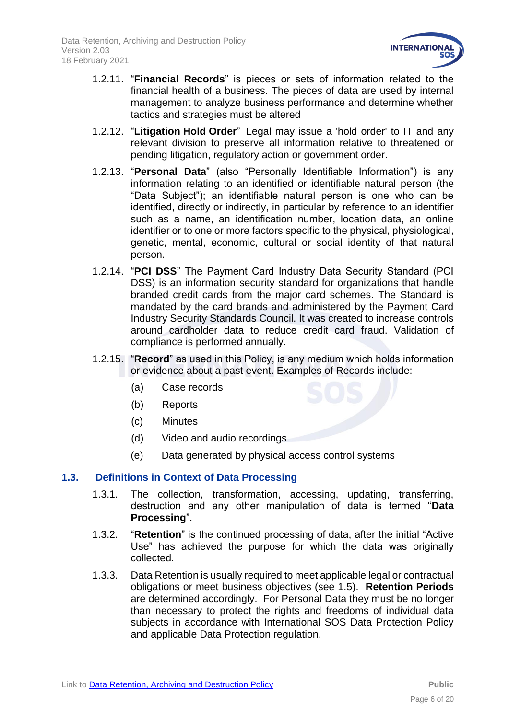

- 1.2.11. "**Financial Records**" is pieces or sets of information related to the financial health of a business. The pieces of data are used by internal management to analyze business performance and determine whether tactics and strategies must be altered
- 1.2.12. "**Litigation Hold Order**" Legal may issue a 'hold order' to IT and any relevant division to preserve all information relative to threatened or pending litigation, regulatory action or government order.
- 1.2.13. "**Personal Data**" (also "Personally Identifiable Information") is any information relating to an identified or identifiable natural person (the "Data Subject"); an identifiable natural person is one who can be identified, directly or indirectly, in particular by reference to an identifier such as a name, an identification number, location data, an online identifier or to one or more factors specific to the physical, physiological, genetic, mental, economic, cultural or social identity of that natural person.
- 1.2.14. "**PCI DSS**" The Payment Card Industry Data Security Standard (PCI DSS) is an information security standard for organizations that handle branded credit cards from the major card schemes. The Standard is mandated by the card brands and administered by the Payment Card Industry Security Standards Council. It was created to increase controls around cardholder data to reduce credit card fraud. Validation of compliance is performed annually.
- 1.2.15. "**Record**" as used in this Policy, is any medium which holds information or evidence about a past event. Examples of Records include:
	- (a) Case records
	- (b) Reports
	- (c) Minutes
	- (d) Video and audio recordings
	- (e) Data generated by physical access control systems

# <span id="page-5-0"></span>**1.3. Definitions in Context of Data Processing**

- 1.3.1. The collection, transformation, accessing, updating, transferring, destruction and any other manipulation of data is termed "**Data Processing**".
- 1.3.2. "**Retention**" is the continued processing of data, after the initial "Active Use" has achieved the purpose for which the data was originally collected.
- 1.3.3. Data Retention is usually required to meet applicable legal or contractual obligations or meet business objectives (see 1.5). **Retention Periods** are determined accordingly. For Personal Data they must be no longer than necessary to protect the rights and freedoms of individual data subjects in accordance with International SOS Data Protection Policy and applicable Data Protection regulation.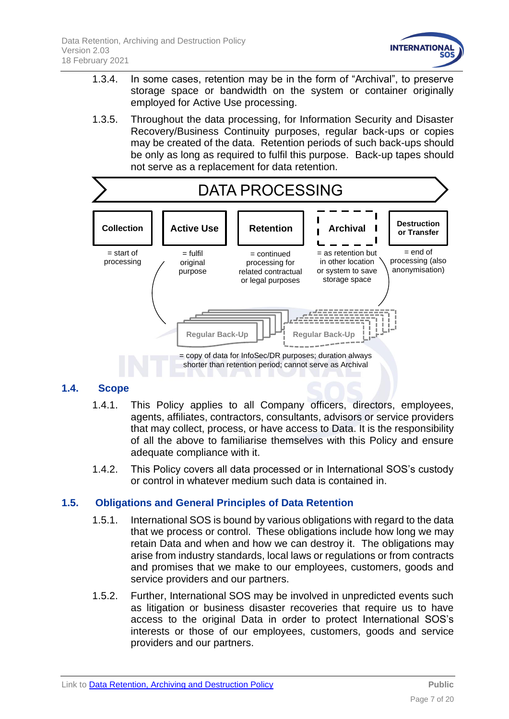

- 1.3.4. In some cases, retention may be in the form of "Archival", to preserve storage space or bandwidth on the system or container originally employed for Active Use processing.
- 1.3.5. Throughout the data processing, for Information Security and Disaster Recovery/Business Continuity purposes, regular back-ups or copies may be created of the data. Retention periods of such back-ups should be only as long as required to fulfil this purpose. Back-up tapes should not serve as a replacement for data retention.



### **1.4. Scope**

- <span id="page-6-0"></span>1.4.1. This Policy applies to all Company officers, directors, employees, agents, affiliates, contractors, consultants, advisors or service providers that may collect, process, or have access to Data. It is the responsibility of all the above to familiarise themselves with this Policy and ensure adequate compliance with it.
- 1.4.2. This Policy covers all data processed or in International SOS's custody or control in whatever medium such data is contained in.

# <span id="page-6-1"></span>**1.5. Obligations and General Principles of Data Retention**

- 1.5.1. International SOS is bound by various obligations with regard to the data that we process or control. These obligations include how long we may retain Data and when and how we can destroy it. The obligations may arise from industry standards, local laws or regulations or from contracts and promises that we make to our employees, customers, goods and service providers and our partners.
- 1.5.2. Further, International SOS may be involved in unpredicted events such as litigation or business disaster recoveries that require us to have access to the original Data in order to protect International SOS's interests or those of our employees, customers, goods and service providers and our partners.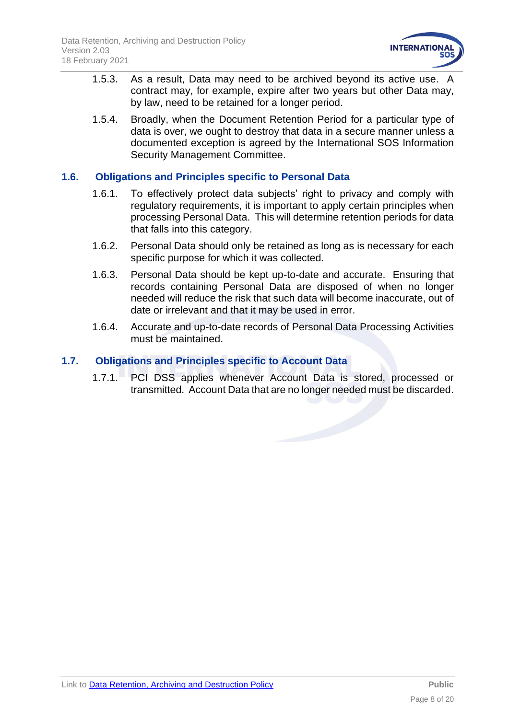

- 1.5.3. As a result, Data may need to be archived beyond its active use. A contract may, for example, expire after two years but other Data may, by law, need to be retained for a longer period.
- 1.5.4. Broadly, when the Document Retention Period for a particular type of data is over, we ought to destroy that data in a secure manner unless a documented exception is agreed by the International SOS Information Security Management Committee.

### <span id="page-7-0"></span>**1.6. Obligations and Principles specific to Personal Data**

- 1.6.1. To effectively protect data subjects' right to privacy and comply with regulatory requirements, it is important to apply certain principles when processing Personal Data. This will determine retention periods for data that falls into this category.
- 1.6.2. Personal Data should only be retained as long as is necessary for each specific purpose for which it was collected.
- 1.6.3. Personal Data should be kept up-to-date and accurate. Ensuring that records containing Personal Data are disposed of when no longer needed will reduce the risk that such data will become inaccurate, out of date or irrelevant and that it may be used in error.
- 1.6.4. Accurate and up-to-date records of Personal Data Processing Activities must be maintained.

### <span id="page-7-1"></span>**1.7. Obligations and Principles specific to Account Data**

1.7.1. PCI DSS applies whenever Account Data is stored, processed or transmitted. Account Data that are no longer needed must be discarded.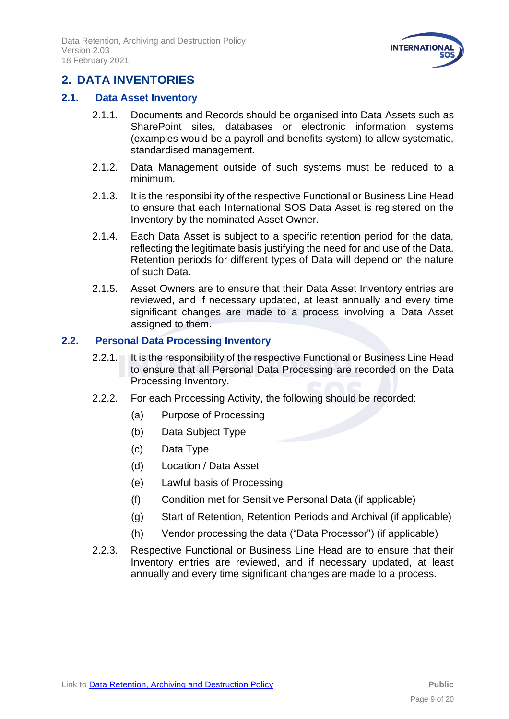

# <span id="page-8-0"></span>**2. DATA INVENTORIES**

### <span id="page-8-1"></span>**2.1. Data Asset Inventory**

- 2.1.1. Documents and Records should be organised into Data Assets such as SharePoint sites, databases or electronic information systems (examples would be a payroll and benefits system) to allow systematic, standardised management.
- 2.1.2. Data Management outside of such systems must be reduced to a minimum.
- 2.1.3. It is the responsibility of the respective Functional or Business Line Head to ensure that each International SOS Data Asset is registered on the Inventory by the nominated Asset Owner.
- 2.1.4. Each Data Asset is subject to a specific retention period for the data, reflecting the legitimate basis justifying the need for and use of the Data. Retention periods for different types of Data will depend on the nature of such Data.
- 2.1.5. Asset Owners are to ensure that their Data Asset Inventory entries are reviewed, and if necessary updated, at least annually and every time significant changes are made to a process involving a Data Asset assigned to them.

### <span id="page-8-2"></span>**2.2. Personal Data Processing Inventory**

- 2.2.1. It is the responsibility of the respective Functional or Business Line Head to ensure that all Personal Data Processing are recorded on the Data Processing Inventory.
- 2.2.2. For each Processing Activity, the following should be recorded:
	- (a) Purpose of Processing
	- (b) Data Subject Type
	- (c) Data Type
	- (d) Location / Data Asset
	- (e) Lawful basis of Processing
	- (f) Condition met for Sensitive Personal Data (if applicable)
	- (g) Start of Retention, Retention Periods and Archival (if applicable)
	- (h) Vendor processing the data ("Data Processor") (if applicable)
- 2.2.3. Respective Functional or Business Line Head are to ensure that their Inventory entries are reviewed, and if necessary updated, at least annually and every time significant changes are made to a process.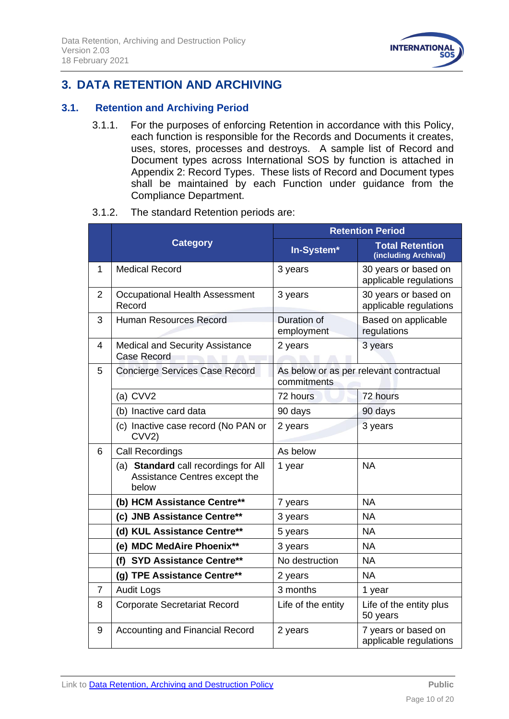

# <span id="page-9-0"></span>**3. DATA RETENTION AND ARCHIVING**

### <span id="page-9-1"></span>**3.1. Retention and Archiving Period**

3.1.1. For the purposes of enforcing Retention in accordance with this Policy, each function is responsible for the Records and Documents it creates, uses, stores, processes and destroys. A sample list of Record and Document types across International SOS by function is attached in Appendix 2: Record Types. These lists of Record and Document types shall be maintained by each Function under guidance from the Compliance Department.

#### 3.1.2. The standard Retention periods are:

|                |                                                                                | <b>Retention Period</b>   |                                                |  |  |  |
|----------------|--------------------------------------------------------------------------------|---------------------------|------------------------------------------------|--|--|--|
|                | <b>Category</b>                                                                | In-System*                | <b>Total Retention</b><br>(including Archival) |  |  |  |
| 1              | <b>Medical Record</b>                                                          | 3 years                   | 30 years or based on<br>applicable regulations |  |  |  |
| $\overline{2}$ | Occupational Health Assessment<br>Record                                       | 3 years                   | 30 years or based on<br>applicable regulations |  |  |  |
| 3              | <b>Human Resources Record</b>                                                  | Duration of<br>employment | Based on applicable<br>regulations             |  |  |  |
| 4              | <b>Medical and Security Assistance</b><br><b>Case Record</b>                   | 2 years                   | 3 years                                        |  |  |  |
| 5              | <b>Concierge Services Case Record</b>                                          | commitments               | As below or as per relevant contractual        |  |  |  |
|                | (a) CVV2                                                                       | 72 hours                  | 72 hours                                       |  |  |  |
|                | (b) Inactive card data                                                         | 90 days                   | 90 days                                        |  |  |  |
|                | (c) Inactive case record (No PAN or<br>CVV2)                                   | 2 years                   | 3 years                                        |  |  |  |
| 6              | <b>Call Recordings</b>                                                         | As below                  |                                                |  |  |  |
|                | (a) Standard call recordings for All<br>Assistance Centres except the<br>below | 1 year                    | <b>NA</b>                                      |  |  |  |
|                | (b) HCM Assistance Centre**                                                    | 7 years                   | <b>NA</b>                                      |  |  |  |
|                | (c) JNB Assistance Centre**                                                    | 3 years                   | <b>NA</b>                                      |  |  |  |
|                | (d) KUL Assistance Centre**                                                    | 5 years                   | <b>NA</b>                                      |  |  |  |
|                | (e) MDC MedAire Phoenix**                                                      | 3 years                   | <b>NA</b>                                      |  |  |  |
|                | (f) SYD Assistance Centre**                                                    | No destruction            | <b>NA</b>                                      |  |  |  |
|                | (g) TPE Assistance Centre**                                                    | 2 years                   | <b>NA</b>                                      |  |  |  |
| $\overline{7}$ | <b>Audit Logs</b>                                                              | 3 months                  | 1 year                                         |  |  |  |
| 8              | <b>Corporate Secretariat Record</b>                                            | Life of the entity        | Life of the entity plus<br>50 years            |  |  |  |
| 9              | <b>Accounting and Financial Record</b>                                         | 2 years                   | 7 years or based on<br>applicable regulations  |  |  |  |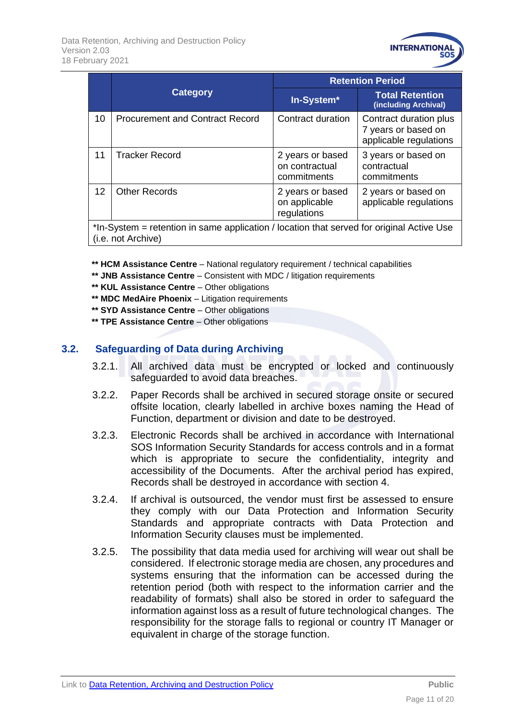

|                                                                                                                 |                                        | <b>Retention Period</b>                           |                                                                         |  |  |  |
|-----------------------------------------------------------------------------------------------------------------|----------------------------------------|---------------------------------------------------|-------------------------------------------------------------------------|--|--|--|
|                                                                                                                 | <b>Category</b>                        | In-System*                                        | <b>Total Retention</b><br>(including Archival)                          |  |  |  |
| 10                                                                                                              | <b>Procurement and Contract Record</b> | Contract duration                                 | Contract duration plus<br>7 years or based on<br>applicable regulations |  |  |  |
| 11                                                                                                              | <b>Tracker Record</b>                  | 2 years or based<br>on contractual<br>commitments | 3 years or based on<br>contractual<br>commitments                       |  |  |  |
| $12 \overline{ }$                                                                                               | <b>Other Records</b>                   | 2 years or based<br>on applicable<br>regulations  | 2 years or based on<br>applicable regulations                           |  |  |  |
| *In-System = retention in same application / location that served for original Active Use<br>(i.e. not Archive) |                                        |                                                   |                                                                         |  |  |  |

**\*\* HCM Assistance Centre** – National regulatory requirement / technical capabilities

- **\*\* JNB Assistance Centre** Consistent with MDC / litigation requirements
- **\*\* KUL Assistance Centre** Other obligations
- **\*\* MDC MedAire Phoenix** Litigation requirements
- **\*\* SYD Assistance Centre** Other obligations
- **\*\* TPE Assistance Centre** Other obligations

### <span id="page-10-0"></span>**3.2. Safeguarding of Data during Archiving**

- 3.2.1. All archived data must be encrypted or locked and continuously safeguarded to avoid data breaches.
- 3.2.2. Paper Records shall be archived in secured storage onsite or secured offsite location, clearly labelled in archive boxes naming the Head of Function, department or division and date to be destroyed.
- 3.2.3. Electronic Records shall be archived in accordance with International SOS Information Security Standards for access controls and in a format which is appropriate to secure the confidentiality, integrity and accessibility of the Documents. After the archival period has expired, Records shall be destroyed in accordance with section 4.
- 3.2.4. If archival is outsourced, the vendor must first be assessed to ensure they comply with our Data Protection and Information Security Standards and appropriate contracts with Data Protection and Information Security clauses must be implemented.
- 3.2.5. The possibility that data media used for archiving will wear out shall be considered. If electronic storage media are chosen, any procedures and systems ensuring that the information can be accessed during the retention period (both with respect to the information carrier and the readability of formats) shall also be stored in order to safeguard the information against loss as a result of future technological changes. The responsibility for the storage falls to regional or country IT Manager or equivalent in charge of the storage function.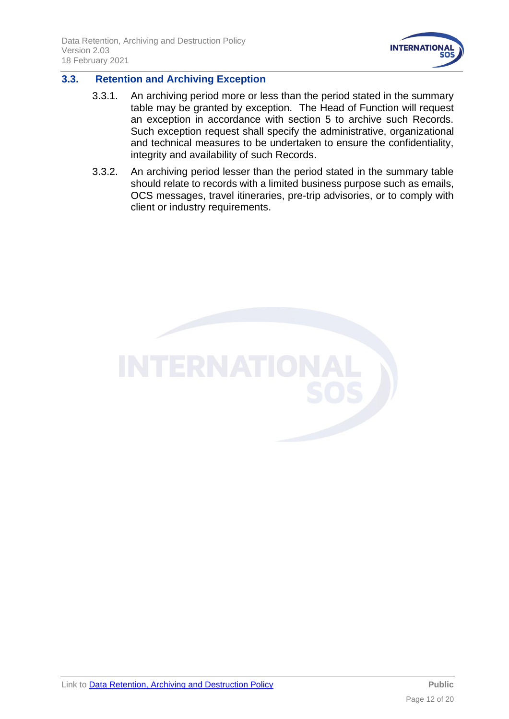

# <span id="page-11-0"></span>**3.3. Retention and Archiving Exception**

- 3.3.1. An archiving period more or less than the period stated in the summary table may be granted by exception. The Head of Function will request an exception in accordance with section 5 to archive such Records. Such exception request shall specify the administrative, organizational and technical measures to be undertaken to ensure the confidentiality, integrity and availability of such Records.
- 3.3.2. An archiving period lesser than the period stated in the summary table should relate to records with a limited business purpose such as emails, OCS messages, travel itineraries, pre-trip advisories, or to comply with client or industry requirements.

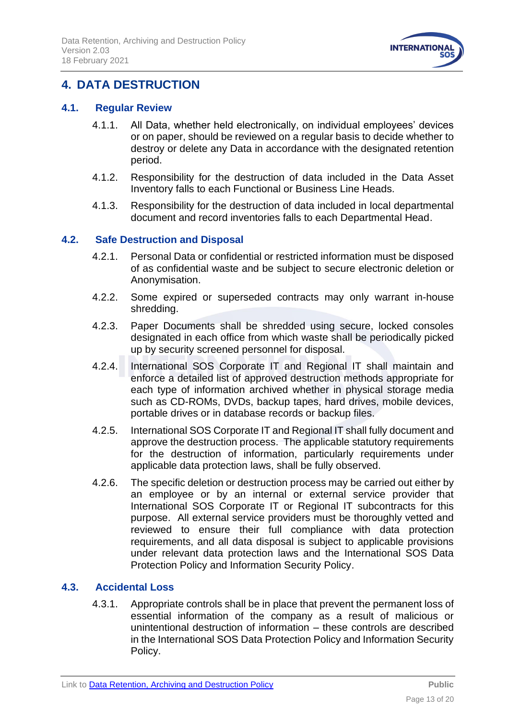

# <span id="page-12-0"></span>**4. DATA DESTRUCTION**

### <span id="page-12-1"></span>**4.1. Regular Review**

- 4.1.1. All Data, whether held electronically, on individual employees' devices or on paper, should be reviewed on a regular basis to decide whether to destroy or delete any Data in accordance with the designated retention period.
- 4.1.2. Responsibility for the destruction of data included in the Data Asset Inventory falls to each Functional or Business Line Heads.
- 4.1.3. Responsibility for the destruction of data included in local departmental document and record inventories falls to each Departmental Head.

### <span id="page-12-2"></span>**4.2. Safe Destruction and Disposal**

- 4.2.1. Personal Data or confidential or restricted information must be disposed of as confidential waste and be subject to secure electronic deletion or Anonymisation.
- 4.2.2. Some expired or superseded contracts may only warrant in-house shredding.
- 4.2.3. Paper Documents shall be shredded using secure, locked consoles designated in each office from which waste shall be periodically picked up by security screened personnel for disposal.
- 4.2.4. International SOS Corporate IT and Regional IT shall maintain and enforce a detailed list of approved destruction methods appropriate for each type of information archived whether in physical storage media such as CD-ROMs, DVDs, backup tapes, hard drives, mobile devices, portable drives or in database records or backup files.
- 4.2.5. International SOS Corporate IT and Regional IT shall fully document and approve the destruction process. The applicable statutory requirements for the destruction of information, particularly requirements under applicable data protection laws, shall be fully observed.
- 4.2.6. The specific deletion or destruction process may be carried out either by an employee or by an internal or external service provider that International SOS Corporate IT or Regional IT subcontracts for this purpose. All external service providers must be thoroughly vetted and reviewed to ensure their full compliance with data protection requirements, and all data disposal is subject to applicable provisions under relevant data protection laws and the International SOS Data Protection Policy and Information Security Policy.

# <span id="page-12-3"></span>**4.3. Accidental Loss**

4.3.1. Appropriate controls shall be in place that prevent the permanent loss of essential information of the company as a result of malicious or unintentional destruction of information – these controls are described in the International SOS Data Protection Policy and Information Security Policy.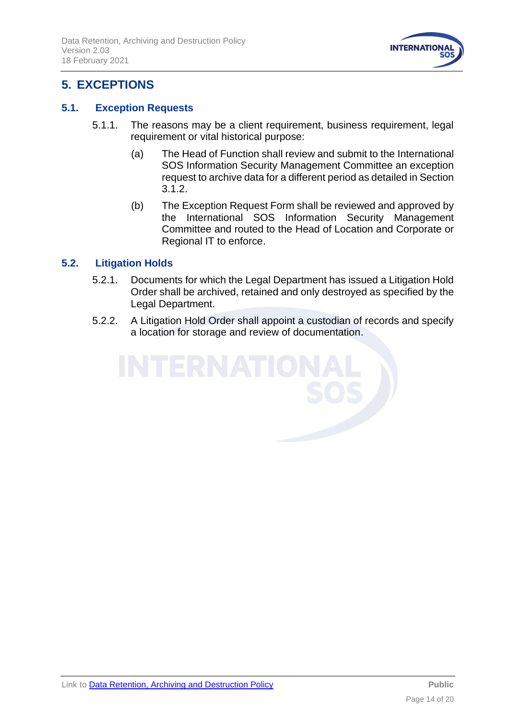

# <span id="page-13-0"></span>**5. EXCEPTIONS**

# <span id="page-13-1"></span>**5.1. Exception Requests**

- 5.1.1. The reasons may be a client requirement, business requirement, legal requirement or vital historical purpose:
	- (a) The Head of Function shall review and submit to the International SOS Information Security Management Committee an exception request to archive data for a different period as detailed in Section 3.1.2.
	- (b) The Exception Request Form shall be reviewed and approved by the International SOS Information Security Management Committee and routed to the Head of Location and Corporate or Regional IT to enforce.

# <span id="page-13-2"></span>**5.2. Litigation Holds**

- 5.2.1. Documents for which the Legal Department has issued a Litigation Hold Order shall be archived, retained and only destroyed as specified by the Legal Department.
- 5.2.2. A Litigation Hold Order shall appoint a custodian of records and specify a location for storage and review of documentation.

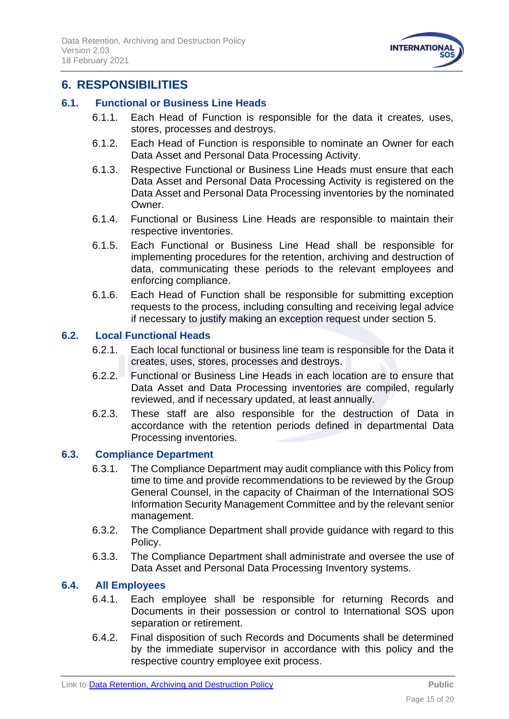

# <span id="page-14-0"></span>**6. RESPONSIBILITIES**

# <span id="page-14-1"></span>**6.1. Functional or Business Line Heads**

- 6.1.1. Each Head of Function is responsible for the data it creates, uses, stores, processes and destroys.
- 6.1.2. Each Head of Function is responsible to nominate an Owner for each Data Asset and Personal Data Processing Activity.
- 6.1.3. Respective Functional or Business Line Heads must ensure that each Data Asset and Personal Data Processing Activity is registered on the Data Asset and Personal Data Processing inventories by the nominated **Owner**
- 6.1.4. Functional or Business Line Heads are responsible to maintain their respective inventories.
- 6.1.5. Each Functional or Business Line Head shall be responsible for implementing procedures for the retention, archiving and destruction of data, communicating these periods to the relevant employees and enforcing compliance.
- 6.1.6. Each Head of Function shall be responsible for submitting exception requests to the process, including consulting and receiving legal advice if necessary to justify making an exception request under section 5.

# <span id="page-14-2"></span>**6.2. Local Functional Heads**

- 6.2.1. Each local functional or business line team is responsible for the Data it creates, uses, stores, processes and destroys.
- 6.2.2. Functional or Business Line Heads in each location are to ensure that Data Asset and Data Processing inventories are compiled, regularly reviewed, and if necessary updated, at least annually.
- 6.2.3. These staff are also responsible for the destruction of Data in accordance with the retention periods defined in departmental Data Processing inventories.

# <span id="page-14-3"></span>**6.3. Compliance Department**

- 6.3.1. The Compliance Department may audit compliance with this Policy from time to time and provide recommendations to be reviewed by the Group General Counsel, in the capacity of Chairman of the International SOS Information Security Management Committee and by the relevant senior management.
- 6.3.2. The Compliance Department shall provide guidance with regard to this Policy.
- 6.3.3. The Compliance Department shall administrate and oversee the use of Data Asset and Personal Data Processing Inventory systems.

# <span id="page-14-4"></span>**6.4. All Employees**

- 6.4.1. Each employee shall be responsible for returning Records and Documents in their possession or control to International SOS upon separation or retirement.
- 6.4.2. Final disposition of such Records and Documents shall be determined by the immediate supervisor in accordance with this policy and the respective country employee exit process.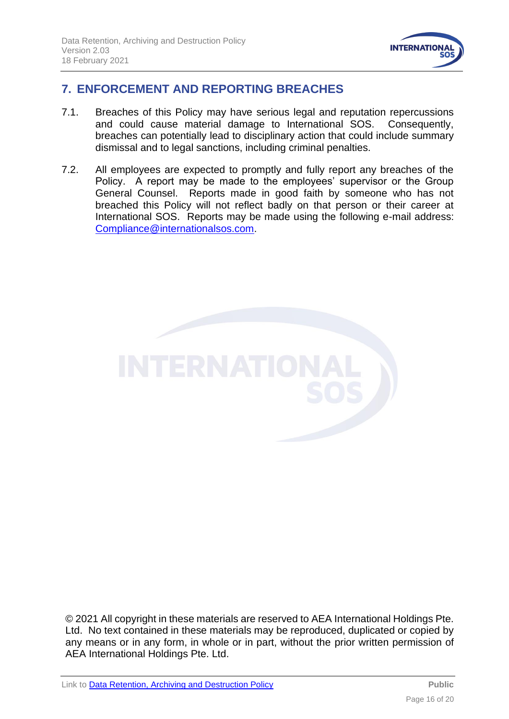

# <span id="page-15-0"></span>**7. ENFORCEMENT AND REPORTING BREACHES**

- 7.1. Breaches of this Policy may have serious legal and reputation repercussions and could cause material damage to International SOS. Consequently, breaches can potentially lead to disciplinary action that could include summary dismissal and to legal sanctions, including criminal penalties.
- 7.2. All employees are expected to promptly and fully report any breaches of the Policy. A report may be made to the employees' supervisor or the Group General Counsel. Reports made in good faith by someone who has not breached this Policy will not reflect badly on that person or their career at International SOS. Reports may be made using the following e-mail address: [Compliance@internationalsos.com.](mailto:Compliance@internationalsos.com)



© 2021 All copyright in these materials are reserved to AEA International Holdings Pte. Ltd. No text contained in these materials may be reproduced, duplicated or copied by any means or in any form, in whole or in part, without the prior written permission of AEA International Holdings Pte. Ltd.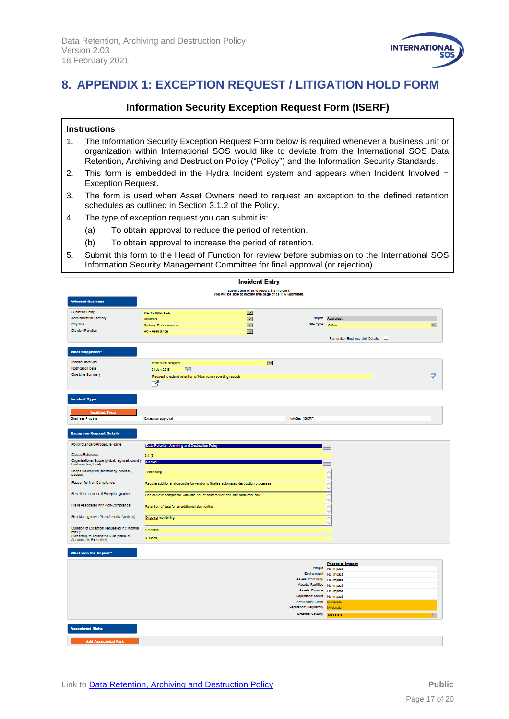

# <span id="page-16-0"></span>**8. APPENDIX 1: EXCEPTION REQUEST / LITIGATION HOLD FORM**

### **Information Security Exception Request Form (ISERF)**

#### **Instructions**

- 1. The Information Security Exception Request Form below is required whenever a business unit or organization within International SOS would like to deviate from the International SOS Data Retention, Archiving and Destruction Policy ("Policy") and the Information Security Standards.
- 2. This form is embedded in the Hydra Incident system and appears when Incident Involved = Exception Request.
- 3. The form is used when Asset Owners need to request an exception to the defined retention schedules as outlined in Section 3.1.2 of the Policy.
- 4. The type of exception request you can submit is:
	- (a) To obtain approval to reduce the period of retention.
	- (b) To obtain approval to increase the period of retention.
- 5. Submit this form to the Head of Function for review before submission to the International SOS Information Security Management Committee for final approval (or rejection).

| <b>Incident Entry</b>                                      |                                                                                      |                                 |                                                              |                                          |                               |  |  |
|------------------------------------------------------------|--------------------------------------------------------------------------------------|---------------------------------|--------------------------------------------------------------|------------------------------------------|-------------------------------|--|--|
| Submit this form to record the incident.                   |                                                                                      |                                 |                                                              |                                          |                               |  |  |
| You will be able to modify this page once it is submitted. |                                                                                      |                                 |                                                              |                                          |                               |  |  |
| <b>Affected Business</b>                                   |                                                                                      |                                 |                                                              |                                          |                               |  |  |
| <b>Business Entity</b>                                     | International SOS                                                                    | $\overline{\mathbf{v}}$         |                                                              |                                          |                               |  |  |
| <b>Administrative Territory</b>                            | Australia                                                                            | $\overline{\mathbf{v}}$         |                                                              | Region Australasia                       |                               |  |  |
| City/Site                                                  | Sydney: Drake Avenue                                                                 | $\overline{\mathbf{v}}$         | Site Type Omce                                               |                                          | $\overline{\mathbf{v}}$       |  |  |
| Division/Function                                          | AC - Assistance                                                                      | $\overline{\mathbf{v}}$         |                                                              |                                          |                               |  |  |
|                                                            |                                                                                      |                                 |                                                              | Remember Business Unit Details $\square$ |                               |  |  |
|                                                            |                                                                                      |                                 |                                                              |                                          |                               |  |  |
| <b>What Happened?</b>                                      |                                                                                      |                                 |                                                              |                                          |                               |  |  |
|                                                            |                                                                                      |                                 |                                                              |                                          |                               |  |  |
| Incident Involved<br>Notification Date                     | <b>Exception Request</b>                                                             | $\overline{\phantom{0}}$        |                                                              |                                          |                               |  |  |
| One Line Summary                                           | 21 Jun 2018<br>H                                                                     |                                 |                                                              |                                          | $\frac{\text{ABF}}{\text{A}}$ |  |  |
|                                                            | Request to extend retention of Nice voice recording records                          |                                 |                                                              |                                          |                               |  |  |
|                                                            | M                                                                                    |                                 |                                                              |                                          |                               |  |  |
|                                                            |                                                                                      |                                 |                                                              |                                          |                               |  |  |
| <b>Incident Type</b>                                       |                                                                                      |                                 |                                                              |                                          |                               |  |  |
|                                                            |                                                                                      |                                 |                                                              |                                          |                               |  |  |
| <b>Incident Type</b>                                       |                                                                                      |                                 |                                                              |                                          |                               |  |  |
| <b>Business Process</b>                                    | Exception approval                                                                   |                                 | InfoSec (ISERF)                                              |                                          |                               |  |  |
|                                                            |                                                                                      |                                 |                                                              |                                          |                               |  |  |
| <b>Exception Request Details</b>                           |                                                                                      |                                 |                                                              |                                          |                               |  |  |
|                                                            |                                                                                      |                                 |                                                              |                                          |                               |  |  |
| Policy/Standard/Procedure Name:                            | Data Retention Archiving and Destruction Policy                                      |                                 |                                                              |                                          |                               |  |  |
| Clause/Reference:                                          | 3.1(6)                                                                               |                                 |                                                              |                                          |                               |  |  |
| Organisational Scope (global, regional, country,           | Region                                                                               |                                 |                                                              |                                          |                               |  |  |
| business line, local):                                     |                                                                                      |                                 |                                                              | ═                                        |                               |  |  |
| Scope Description (technology, process,<br>people):        | Technology                                                                           |                                 |                                                              | A<br><b>N</b>                            |                               |  |  |
| Reason for Non-Compilance:                                 | Require additional six months for vendor to finalise automated destruction processes |                                 |                                                              | A                                        |                               |  |  |
|                                                            |                                                                                      |                                 |                                                              | $\overline{\mathbf{v}}$                  |                               |  |  |
| Benefit to business if Exception granted:                  | Can achieve compilance with little risk of compromise and little additional cost.    |                                 |                                                              | A                                        |                               |  |  |
|                                                            | $\sim$                                                                               |                                 |                                                              |                                          |                               |  |  |
| Risks Associated with Non-Compilance:                      | Retention of data for an additional six months                                       | $\curvearrowright$<br><b>No</b> |                                                              |                                          |                               |  |  |
| Risk Management Plan (Security Controls):                  | Ongoing monitoring                                                                   |                                 |                                                              |                                          |                               |  |  |
|                                                            |                                                                                      |                                 |                                                              | $\curvearrowright$<br>N                  |                               |  |  |
| Duration of Exception Requested (12 months                 | 6 months                                                                             |                                 |                                                              |                                          |                               |  |  |
| max.):<br>Ownership to Accept the Risk (Name of            | B. Good                                                                              |                                 |                                                              |                                          |                               |  |  |
| Accountable Executive):                                    |                                                                                      |                                 |                                                              |                                          |                               |  |  |
|                                                            |                                                                                      |                                 |                                                              |                                          |                               |  |  |
| What was the Impact?                                       |                                                                                      |                                 |                                                              |                                          |                               |  |  |
|                                                            |                                                                                      |                                 |                                                              | <b>Potential Impact</b>                  |                               |  |  |
|                                                            |                                                                                      |                                 |                                                              | People No Impact                         |                               |  |  |
|                                                            |                                                                                      |                                 | Environment No Impact                                        |                                          |                               |  |  |
|                                                            |                                                                                      |                                 | Assets: Continuity No Impact<br>Assets: Facilities No Impact |                                          |                               |  |  |
|                                                            |                                                                                      |                                 | Assets: Finance No Impact                                    |                                          |                               |  |  |
|                                                            |                                                                                      |                                 | Reputation: Media No Impact                                  |                                          |                               |  |  |
| Reputation: Client Moderate                                |                                                                                      |                                 |                                                              |                                          |                               |  |  |
|                                                            |                                                                                      |                                 | Reputation: Regulatory Moderate                              |                                          |                               |  |  |
|                                                            |                                                                                      |                                 | Potential Severity Moderate                                  |                                          | $\overline{\mathbf{v}}$       |  |  |
|                                                            |                                                                                      |                                 |                                                              |                                          |                               |  |  |
| <b>Associated Risks</b>                                    |                                                                                      |                                 |                                                              |                                          |                               |  |  |
|                                                            |                                                                                      |                                 |                                                              |                                          |                               |  |  |
| <b>Add Associated Risk</b>                                 |                                                                                      |                                 |                                                              |                                          |                               |  |  |
|                                                            |                                                                                      |                                 |                                                              |                                          |                               |  |  |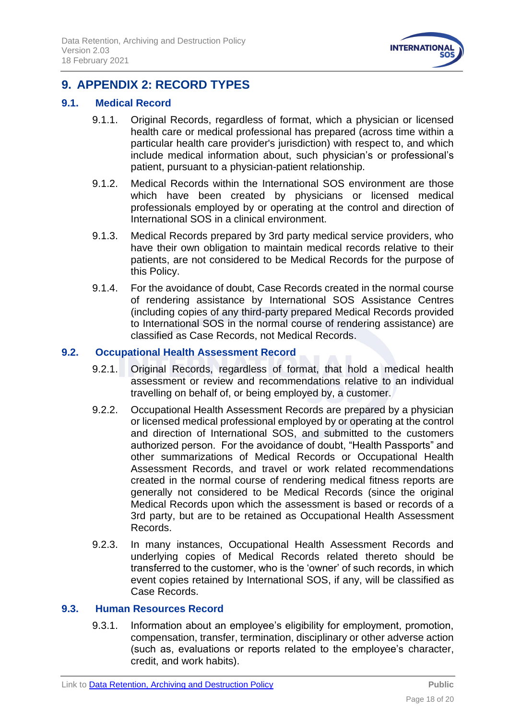

# <span id="page-17-0"></span>**9. APPENDIX 2: RECORD TYPES**

### <span id="page-17-1"></span>**9.1. Medical Record**

- 9.1.1. Original Records, regardless of format, which a physician or licensed health care or medical professional has prepared (across time within a particular health care provider's jurisdiction) with respect to, and which include medical information about, such physician's or professional's patient, pursuant to a physician-patient relationship.
- 9.1.2. Medical Records within the International SOS environment are those which have been created by physicians or licensed medical professionals employed by or operating at the control and direction of International SOS in a clinical environment.
- 9.1.3. Medical Records prepared by 3rd party medical service providers, who have their own obligation to maintain medical records relative to their patients, are not considered to be Medical Records for the purpose of this Policy.
- 9.1.4. For the avoidance of doubt, Case Records created in the normal course of rendering assistance by International SOS Assistance Centres (including copies of any third-party prepared Medical Records provided to International SOS in the normal course of rendering assistance) are classified as Case Records, not Medical Records.

### <span id="page-17-2"></span>**9.2. Occupational Health Assessment Record**

- 9.2.1. Original Records, regardless of format, that hold a medical health assessment or review and recommendations relative to an individual travelling on behalf of, or being employed by, a customer.
- 9.2.2. Occupational Health Assessment Records are prepared by a physician or licensed medical professional employed by or operating at the control and direction of International SOS, and submitted to the customers authorized person. For the avoidance of doubt, "Health Passports" and other summarizations of Medical Records or Occupational Health Assessment Records, and travel or work related recommendations created in the normal course of rendering medical fitness reports are generally not considered to be Medical Records (since the original Medical Records upon which the assessment is based or records of a 3rd party, but are to be retained as Occupational Health Assessment Records.
- 9.2.3. In many instances, Occupational Health Assessment Records and underlying copies of Medical Records related thereto should be transferred to the customer, who is the 'owner' of such records, in which event copies retained by International SOS, if any, will be classified as Case Records.

#### <span id="page-17-3"></span>**9.3. Human Resources Record**

9.3.1. Information about an employee's eligibility for employment, promotion, compensation, transfer, termination, disciplinary or other adverse action (such as, evaluations or reports related to the employee's character, credit, and work habits).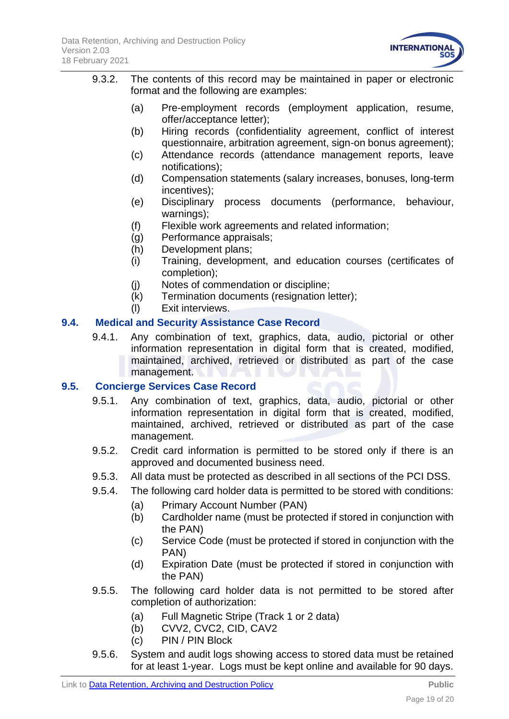

- 9.3.2. The contents of this record may be maintained in paper or electronic format and the following are examples:
	- (a) Pre-employment records (employment application, resume, offer/acceptance letter);
	- (b) Hiring records (confidentiality agreement, conflict of interest questionnaire, arbitration agreement, sign-on bonus agreement);
	- (c) Attendance records (attendance management reports, leave notifications);
	- (d) Compensation statements (salary increases, bonuses, long-term incentives);
	- (e) Disciplinary process documents (performance, behaviour, warnings);
	- (f) Flexible work agreements and related information;
	- (g) Performance appraisals;
	- (h) Development plans;
	- (i) Training, development, and education courses (certificates of completion);
	- (j) Notes of commendation or discipline;
	- (k) Termination documents (resignation letter);
	- (l) Exit interviews.

# <span id="page-18-0"></span>**9.4. Medical and Security Assistance Case Record**

9.4.1. Any combination of text, graphics, data, audio, pictorial or other information representation in digital form that is created, modified, maintained, archived, retrieved or distributed as part of the case management.

# <span id="page-18-1"></span>**9.5. Concierge Services Case Record**

- 9.5.1. Any combination of text, graphics, data, audio, pictorial or other information representation in digital form that is created, modified, maintained, archived, retrieved or distributed as part of the case management.
- 9.5.2. Credit card information is permitted to be stored only if there is an approved and documented business need.
- 9.5.3. All data must be protected as described in all sections of the PCI DSS.
- 9.5.4. The following card holder data is permitted to be stored with conditions:
	- (a) Primary Account Number (PAN)
	- (b) Cardholder name (must be protected if stored in conjunction with the PAN)
	- (c) Service Code (must be protected if stored in conjunction with the PAN)
	- (d) Expiration Date (must be protected if stored in conjunction with the PAN)
- 9.5.5. The following card holder data is not permitted to be stored after completion of authorization:
	- (a) Full Magnetic Stripe (Track 1 or 2 data)
	- (b) CVV2, CVC2, CID, CAV2
	- (c) PIN / PIN Block
- 9.5.6. System and audit logs showing access to stored data must be retained for at least 1-year. Logs must be kept online and available for 90 days.